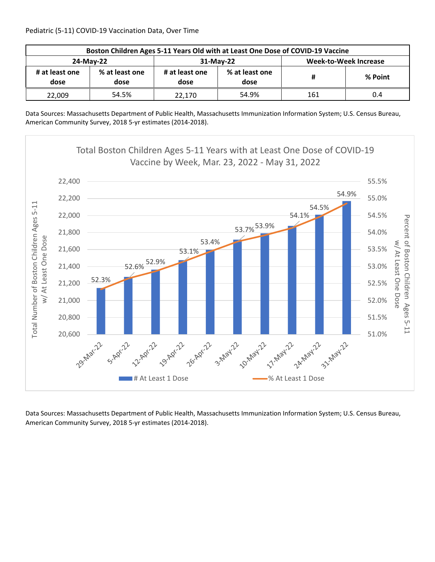| Boston Children Ages 5-11 Years Old with at Least One Dose of COVID-19 Vaccine |                        |                        |                        |                       |         |  |  |
|--------------------------------------------------------------------------------|------------------------|------------------------|------------------------|-----------------------|---------|--|--|
| 24-May-22                                                                      |                        |                        | 31-May-22              | Week-to-Week Increase |         |  |  |
| # at least one<br>dose                                                         | % at least one<br>dose | # at least one<br>dose | % at least one<br>dose | #                     | % Point |  |  |
| 22,009                                                                         | 54.5%                  | 22.170                 | 54.9%                  | 161                   | 0.4     |  |  |

Data Sources: Massachusetts Department of Public Health, Massachusetts Immunization Information System; U.S. Census Bureau, American Community Survey, 2018 5‐yr estimates (2014‐2018).

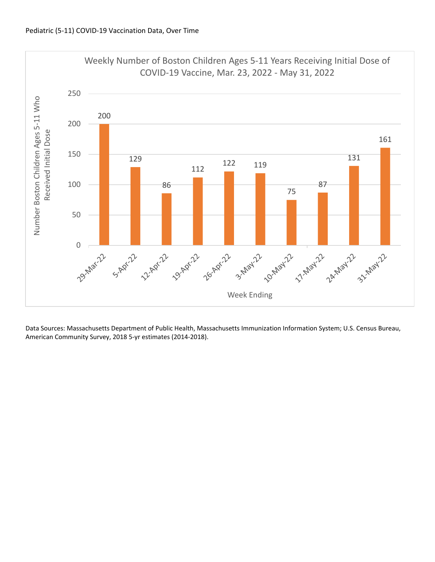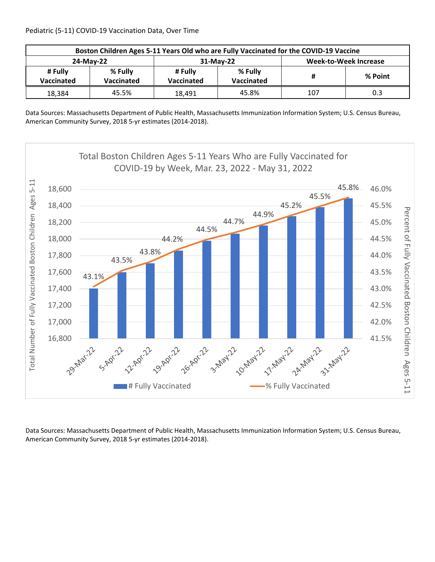Pediatric (5‐11) COVID‐19 Vaccination Data, Over Time

| Boston Children Ages 5-11 Years Old who are Fully Vaccinated for the COVID-19 Vaccine |                       |                       |                              |                              |         |  |  |
|---------------------------------------------------------------------------------------|-----------------------|-----------------------|------------------------------|------------------------------|---------|--|--|
| 24-May-22                                                                             |                       |                       | 31-May-22                    | <b>Week-to-Week Increase</b> |         |  |  |
| # Fully<br><b>Vaccinated</b>                                                          | % Fully<br>Vaccinated | # Fully<br>Vaccinated | % Fully<br><b>Vaccinated</b> | #                            | % Point |  |  |
| 18,384                                                                                | 45.5%                 | 18.491                | 45.8%                        | 107                          | 0.3     |  |  |

Data Sources: Massachusetts Department of Public Health, Massachusetts Immunization Information System; U.S. Census Bureau, American Community Survey, 2018 5‐yr estimates (2014‐2018).

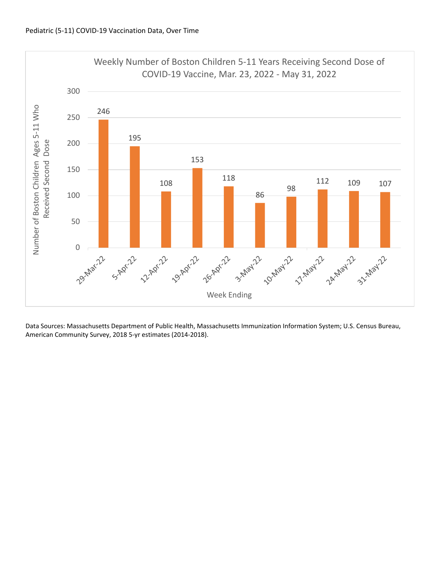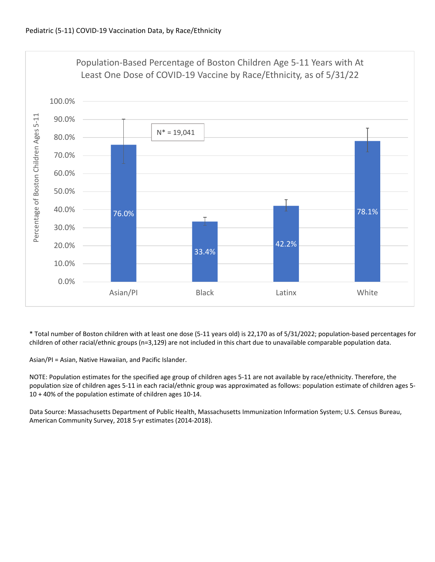

\* Total number of Boston children with at least one dose (5‐11 years old) is 22,170 as of 5/31/2022; population‐based percentages for children of other racial/ethnic groups (n=3,129) are not included in this chart due to unavailable comparable population data.

Asian/PI = Asian, Native Hawaiian, and Pacific Islander.

NOTE: Population estimates for the specified age group of children ages 5‐11 are not available by race/ethnicity. Therefore, the population size of children ages 5‐11 in each racial/ethnic group was approximated as follows: population estimate of children ages 5‐ 10 + 40% of the population estimate of children ages 10‐14.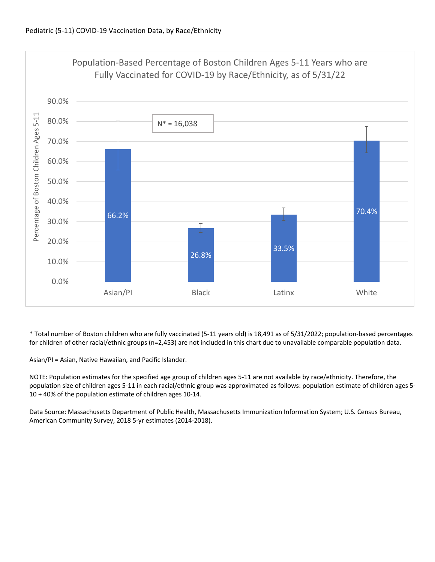

\* Total number of Boston children who are fully vaccinated (5‐11 years old) is 18,491 as of 5/31/2022; population‐based percentages for children of other racial/ethnic groups (n=2,453) are not included in this chart due to unavailable comparable population data.

Asian/PI = Asian, Native Hawaiian, and Pacific Islander.

NOTE: Population estimates for the specified age group of children ages 5‐11 are not available by race/ethnicity. Therefore, the population size of children ages 5‐11 in each racial/ethnic group was approximated as follows: population estimate of children ages 5‐ 10 + 40% of the population estimate of children ages 10‐14.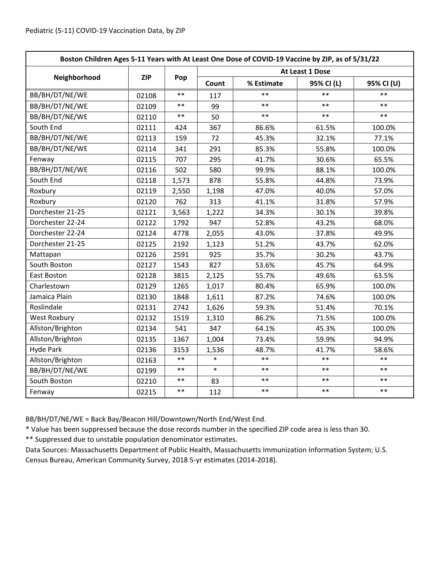| Boston Children Ages 5-11 Years with At Least One Dose of COVID-19 Vaccine by ZIP, as of 5/31/22 |            |            |                 |            |            |            |  |
|--------------------------------------------------------------------------------------------------|------------|------------|-----------------|------------|------------|------------|--|
|                                                                                                  | <b>ZIP</b> | Pop        | At Least 1 Dose |            |            |            |  |
| Neighborhood                                                                                     |            |            | Count           | % Estimate | 95% CI (L) | 95% CI (U) |  |
| BB/BH/DT/NE/WE                                                                                   | 02108      | $**$       | 117             | $**$       | $**$       | $**$       |  |
| BB/BH/DT/NE/WE                                                                                   | 02109      | $***$      | 99              | $**$       | $**$       | $***$      |  |
| BB/BH/DT/NE/WE                                                                                   | 02110      | $***$      | 50              | $* *$      | $**$       | $**$       |  |
| South End                                                                                        | 02111      | 424        | 367             | 86.6%      | 61.5%      | 100.0%     |  |
| BB/BH/DT/NE/WE                                                                                   | 02113      | 159        | 72              | 45.3%      | 32.1%      | 77.1%      |  |
| BB/BH/DT/NE/WE                                                                                   | 02114      | 341        | 291             | 85.3%      | 55.8%      | 100.0%     |  |
| Fenway                                                                                           | 02115      | 707        | 295             | 41.7%      | 30.6%      | 65.5%      |  |
| BB/BH/DT/NE/WE                                                                                   | 02116      | 502        | 580             | 99.9%      | 88.1%      | 100.0%     |  |
| South End                                                                                        | 02118      | 1,573      | 878             | 55.8%      | 44.8%      | 73.9%      |  |
| Roxbury                                                                                          | 02119      | 2,550      | 1,198           | 47.0%      | 40.0%      | 57.0%      |  |
| Roxbury                                                                                          | 02120      | 762        | 313             | 41.1%      | 31.8%      | 57.9%      |  |
| Dorchester 21-25                                                                                 | 02121      | 3,563      | 1,222           | 34.3%      | 30.1%      | 39.8%      |  |
| Dorchester 22-24                                                                                 | 02122      | 1792       | 947             | 52.8%      | 43.2%      | 68.0%      |  |
| Dorchester 22-24                                                                                 | 02124      | 4778       | 2,055           | 43.0%      | 37.8%      | 49.9%      |  |
| Dorchester 21-25                                                                                 | 02125      | 2192       | 1,123           | 51.2%      | 43.7%      | 62.0%      |  |
| Mattapan                                                                                         | 02126      | 2591       | 925             | 35.7%      | 30.2%      | 43.7%      |  |
| South Boston                                                                                     | 02127      | 1543       | 827             | 53.6%      | 45.7%      | 64.9%      |  |
| East Boston                                                                                      | 02128      | 3815       | 2,125           | 55.7%      | 49.6%      | 63.5%      |  |
| Charlestown                                                                                      | 02129      | 1265       | 1,017           | 80.4%      | 65.9%      | 100.0%     |  |
| Jamaica Plain                                                                                    | 02130      | 1848       | 1,611           | 87.2%      | 74.6%      | 100.0%     |  |
| Roslindale                                                                                       | 02131      | 2742       | 1,626           | 59.3%      | 51.4%      | 70.1%      |  |
| <b>West Roxbury</b>                                                                              | 02132      | 1519       | 1,310           | 86.2%      | 71.5%      | 100.0%     |  |
| Allston/Brighton                                                                                 | 02134      | 541        | 347             | 64.1%      | 45.3%      | 100.0%     |  |
| Allston/Brighton                                                                                 | 02135      | 1367       | 1,004           | 73.4%      | 59.9%      | 94.9%      |  |
| <b>Hyde Park</b>                                                                                 | 02136      | 3153       | 1,536           | 48.7%      | 41.7%      | 58.6%      |  |
| Allston/Brighton                                                                                 | 02163      | $***$      | $\ast$          | $**$       | $**$       | $***$      |  |
| BB/BH/DT/NE/WE                                                                                   | 02199      | $***$      | $\ast$          | $**$       | $**$       | $***$      |  |
| South Boston                                                                                     | 02210      | $\ast\ast$ | 83              | $***$      | $***$      | $***$      |  |
| Fenway                                                                                           | 02215      | $***$      | 112             | $***$      | $***$      | $***$      |  |

BB/BH/DT/NE/WE = Back Bay/Beacon Hill/Downtown/North End/West End.

\* Value has been suppressed because the dose records number in the specified ZIP code area is less than 30.

\*\* Suppressed due to unstable population denominator estimates.